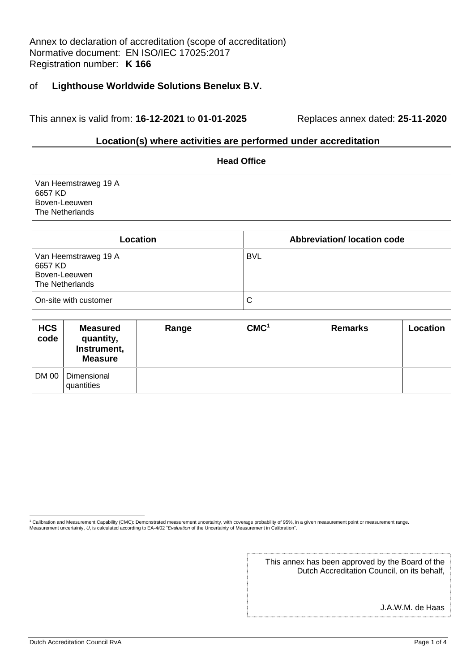Annex to declaration of accreditation (scope of accreditation) Normative document: EN ISO/IEC 17025:2017 Registration number: **K 166**

#### of **Lighthouse Worldwide Solutions Benelux B.V.**

This annex is valid from: **16-12-2021** to **01-01-2025** Replaces annex dated: **25-11-2020**

#### **Location(s) where activities are performed under accreditation**

| <b>Head Office</b>                                                  |                                   |  |  |  |
|---------------------------------------------------------------------|-----------------------------------|--|--|--|
| Van Heemstraweg 19 A<br>6657 KD<br>Boven-Leeuwen<br>The Netherlands |                                   |  |  |  |
| Location                                                            | <b>Abbreviation/Iocation code</b> |  |  |  |
| Van Heemstraweg 19 A<br>6657 KD<br>Boven-Leeuwen<br>The Netherlands | <b>BVL</b>                        |  |  |  |
| On-site with customer                                               | C                                 |  |  |  |

| <b>HCS</b><br>code | <b>Measured</b><br>quantity,<br>Instrument,<br><b>Measure</b> | Range | CMC <sup>1</sup> | <b>Remarks</b> | Location |
|--------------------|---------------------------------------------------------------|-------|------------------|----------------|----------|
| <b>DM 00</b>       | Dimensional<br>quantities                                     |       |                  |                |          |

<sup>1</sup> Calibration and Measurement Capability (CMC): Demonstrated measurement uncertainty, with coverage probability of 95%, in a given measurement point or measurement range.<br>Measurement uncertainty, *U*, is calculated accor

This annex has been approved by the Board of the Dutch Accreditation Council, on its behalf,

J.A.W.M. de Haas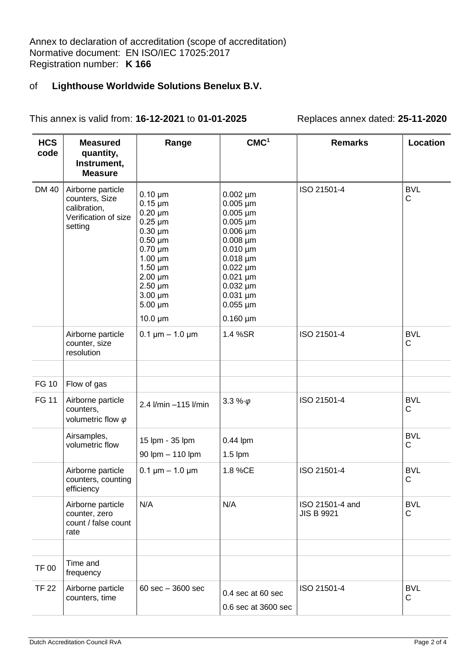## of **Lighthouse Worldwide Solutions Benelux B.V.**

This annex is valid from: **16-12-2021** to **01-01-2025** Replaces annex dated: **25-11-2020**

| <b>HCS</b><br>code | <b>Measured</b><br>quantity,                                                           | Range                                                                                                                                                                                                                        | CMC <sup>1</sup>                                                                                                                                                                                                                                                                  | <b>Remarks</b>                       | Location        |
|--------------------|----------------------------------------------------------------------------------------|------------------------------------------------------------------------------------------------------------------------------------------------------------------------------------------------------------------------------|-----------------------------------------------------------------------------------------------------------------------------------------------------------------------------------------------------------------------------------------------------------------------------------|--------------------------------------|-----------------|
|                    | Instrument,<br><b>Measure</b>                                                          |                                                                                                                                                                                                                              |                                                                                                                                                                                                                                                                                   |                                      |                 |
| <b>DM 40</b>       | Airborne particle<br>counters, Size<br>calibration,<br>Verification of size<br>setting | $0.10 \mu m$<br>$0.15 \mu m$<br>$0.20 \mu m$<br>$0.25 \mu m$<br>$0.30 \mu m$<br>$0.50 \mu m$<br>$0.70 \mu m$<br>$1.00 \mu m$<br>$1.50 \mu m$<br>$2.00 \mu m$<br>$2.50 \mu m$<br>$3.00 \mu m$<br>$5.00 \mu m$<br>$10.0 \mu m$ | $0.002 \mu m$<br>$0.005 \,\mathrm{\upmu m}$<br>$0.005 \,\mathrm{\upmu m}$<br>$0.005 \,\mathrm{\upmu m}$<br>$0.006 \mu m$<br>$0.008 \mu m$<br>$0.010 \mu m$<br>$0.018 \mu m$<br>$0.022 \mu m$<br>$0.021 \mu m$<br>$0.032 \mu m$<br>$0.031 \mu m$<br>$0.055 \mu m$<br>$0.160 \mu m$ | ISO 21501-4                          | <b>BVL</b><br>С |
|                    | Airborne particle<br>counter, size<br>resolution                                       | $0.1 \mu m - 1.0 \mu m$                                                                                                                                                                                                      | 1.4 %SR                                                                                                                                                                                                                                                                           | ISO 21501-4                          | <b>BVL</b><br>C |
|                    |                                                                                        |                                                                                                                                                                                                                              |                                                                                                                                                                                                                                                                                   |                                      |                 |
| <b>FG 10</b>       | Flow of gas                                                                            |                                                                                                                                                                                                                              |                                                                                                                                                                                                                                                                                   |                                      |                 |
| <b>FG 11</b>       | Airborne particle<br>counters,<br>volumetric flow $\varphi$                            | 2.4 l/min -115 l/min                                                                                                                                                                                                         | 3.3 % $\phi$                                                                                                                                                                                                                                                                      | ISO 21501-4                          | <b>BVL</b><br>C |
|                    | Airsamples,<br>volumetric flow                                                         | 15 lpm - 35 lpm<br>90 lpm - 110 lpm                                                                                                                                                                                          | $0.44$ lpm<br>$1.5$ lpm                                                                                                                                                                                                                                                           |                                      | <b>BVL</b><br>C |
|                    | Airborne particle<br>counters, counting<br>efficiency                                  | $0.1 \mu m - 1.0 \mu m$                                                                                                                                                                                                      | 1.8 %CE                                                                                                                                                                                                                                                                           | ISO 21501-4                          | <b>BVL</b><br>C |
|                    | Airborne particle<br>counter, zero<br>count / false count<br>rate                      | N/A                                                                                                                                                                                                                          | N/A                                                                                                                                                                                                                                                                               | ISO 21501-4 and<br><b>JIS B 9921</b> | <b>BVL</b><br>С |
|                    |                                                                                        |                                                                                                                                                                                                                              |                                                                                                                                                                                                                                                                                   |                                      |                 |
| <b>TF 00</b>       | Time and<br>frequency                                                                  |                                                                                                                                                                                                                              |                                                                                                                                                                                                                                                                                   |                                      |                 |
| <b>TF 22</b>       | Airborne particle<br>counters, time                                                    | $60 \text{ sec} - 3600 \text{ sec}$                                                                                                                                                                                          | 0.4 sec at 60 sec                                                                                                                                                                                                                                                                 | ISO 21501-4                          | <b>BVL</b><br>С |
|                    |                                                                                        |                                                                                                                                                                                                                              | 0.6 sec at 3600 sec                                                                                                                                                                                                                                                               |                                      |                 |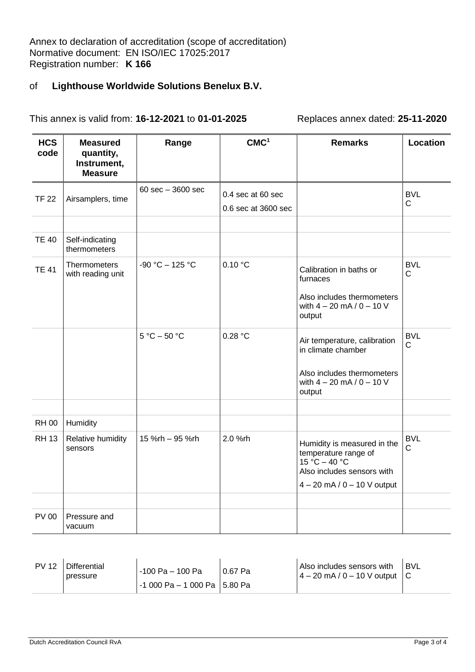Annex to declaration of accreditation (scope of accreditation) Normative document: EN ISO/IEC 17025:2017 Registration number: **K 166**

# of **Lighthouse Worldwide Solutions Benelux B.V.**

This annex is valid from: **16-12-2021** to **01-01-2025** Replaces annex dated: **25-11-2020**

| <b>HCS</b><br>code | <b>Measured</b><br>quantity,<br>Instrument,<br><b>Measure</b> | Range                               | CMC <sup>1</sup>                         | <b>Remarks</b>                                                                                                                                          | Location                   |
|--------------------|---------------------------------------------------------------|-------------------------------------|------------------------------------------|---------------------------------------------------------------------------------------------------------------------------------------------------------|----------------------------|
| <b>TF 22</b>       | Airsamplers, time                                             | $60 \text{ sec} - 3600 \text{ sec}$ | 0.4 sec at 60 sec<br>0.6 sec at 3600 sec |                                                                                                                                                         | <b>BVL</b><br>$\mathsf{C}$ |
| <b>TE 40</b>       | Self-indicating<br>thermometers                               |                                     |                                          |                                                                                                                                                         |                            |
| <b>TE 41</b>       | <b>Thermometers</b><br>with reading unit                      | $-90 °C - 125 °C$                   | 0.10 °C                                  | Calibration in baths or<br>furnaces<br>Also includes thermometers<br>with $4 - 20$ mA $/ 0 - 10$ V<br>output                                            | <b>BVL</b><br>C            |
|                    |                                                               | $5 °C - 50 °C$                      | 0.28 °C                                  | Air temperature, calibration<br>in climate chamber<br>Also includes thermometers<br>with $4 - 20$ mA $/ 0 - 10$ V<br>output                             | <b>BVL</b><br>$\mathsf C$  |
| <b>RH00</b>        | Humidity                                                      |                                     |                                          |                                                                                                                                                         |                            |
| <b>RH13</b>        | Relative humidity<br>sensors                                  | 15 %rh - 95 %rh                     | 2.0 %rh                                  | Humidity is measured in the<br>temperature range of<br>$15 \text{ °C} - 40 \text{ °C}$<br>Also includes sensors with<br>$4 - 20$ mA / 0 $-$ 10 V output | <b>BVL</b><br>$\mathsf C$  |
| <b>PV 00</b>       | Pressure and<br>vacuum                                        |                                     |                                          |                                                                                                                                                         |                            |

| <b>PV 12</b> | <b>Differential</b><br>pressure | -100 Pa - 100 Pa<br>  -1 000 Pa – 1 000 Pa   5.80 Pa | 0.67 Pa | Also includes sensors with<br>$4 - 20$ mA / 0 - 10 V output $\begin{pmatrix} C \end{pmatrix}$ | <b>I BVL</b> |
|--------------|---------------------------------|------------------------------------------------------|---------|-----------------------------------------------------------------------------------------------|--------------|
|--------------|---------------------------------|------------------------------------------------------|---------|-----------------------------------------------------------------------------------------------|--------------|